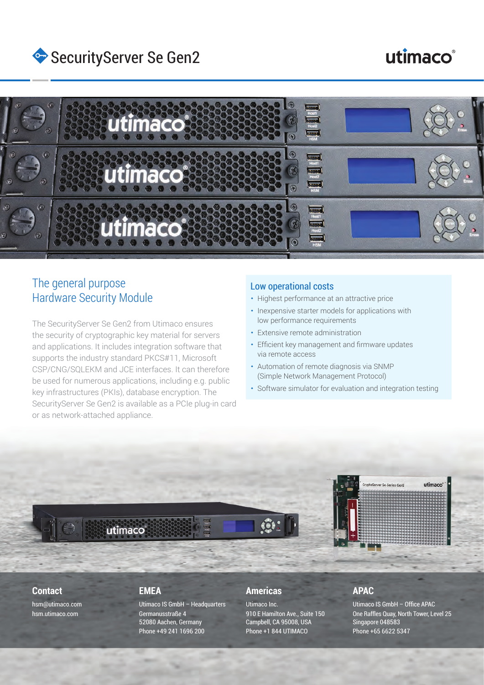

# utimaco®



## The general purpose Hardware Security Module

The SecurityServer Se Gen2 from Utimaco ensures the security of cryptographic key material for servers and applications. It includes integration software that supports the industry standard PKCS#11, Microsoft CSP/CNG/SQLEKM and JCE interfaces. It can therefore be used for numerous applications, including e.g. public key infrastructures (PKIs), database encryption. The SecurityServer Se Gen2 is available as a PCIe plug-in card or as network-attached appliance.

#### Low operational costs

- Highest performance at an attractive price
- **Inexpensive starter models for applications with** low performance requirements
- Extensive remote administration
- Efficient key management and firmware updates via remote access
- Automation of remote diagnosis via SNMP (Simple Network Management Protocol)
- Software simulator for evaluation and integration testing



#### **Contact**

hsm@utimaco.com hsm.utimaco.com

#### **EMEA**

Utimaco IS GmbH – Headquarters Germanusstraße 4 52080 Aachen, Germany Phone +49 241 1696 200

#### **Americas**

Utimaco Inc. 910 E Hamilton Ave., Suite 150 Campbell, CA 95008, USA Phone +1 844 UTIMACO

#### **APAC**

Utimaco IS GmbH – Office APAC One Raffles Quay, North Tower, Level 25 Singapore 048583 Phone +65 6622 5347